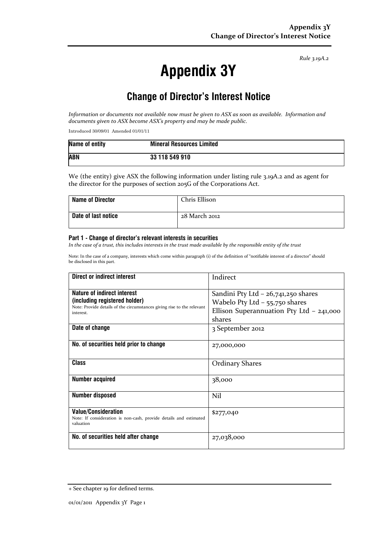Rule 3.19A.2

# Appendix 3Y

## Change of Director's Interest Notice

Information or documents not available now must be given to ASX as soon as available. Information and documents given to ASX become ASX's property and may be made public.

Introduced 30/09/01 Amended 01/01/11

| Name of entity | <b>Mineral Resources Limited</b> |
|----------------|----------------------------------|
| <b>ABN</b>     | 33 118 549 910                   |

We (the entity) give ASX the following information under listing rule 3.19A.2 and as agent for the director for the purposes of section 205G of the Corporations Act.

| <b>Name of Director</b> | Chris Ellison |
|-------------------------|---------------|
| Date of last notice     | 28 March 2012 |

#### Part 1 - Change of director's relevant interests in securities

In the case of a trust, this includes interests in the trust made available by the responsible entity of the trust

Note: In the case of a company, interests which come within paragraph (i) of the definition of "notifiable interest of a director" should be disclosed in this part.

| Direct or indirect interest                                                                                                                         | Indirect                                                                                                                        |
|-----------------------------------------------------------------------------------------------------------------------------------------------------|---------------------------------------------------------------------------------------------------------------------------------|
| Nature of indirect interest<br>(including registered holder)<br>Note: Provide details of the circumstances giving rise to the relevant<br>interest. | Sandini Pty Ltd $-$ 26,741,250 shares<br>Wabelo Pty Ltd $-$ 55,750 shares<br>Ellison Superannuation Pty Ltd - 241,000<br>shares |
| Date of change                                                                                                                                      | 3 September 2012                                                                                                                |
| No. of securities held prior to change                                                                                                              | 27,000,000                                                                                                                      |
| <b>Class</b>                                                                                                                                        | <b>Ordinary Shares</b>                                                                                                          |
| <b>Number acquired</b>                                                                                                                              | 38,000                                                                                                                          |
| <b>Number disposed</b>                                                                                                                              | Nil                                                                                                                             |
| <b>Value/Consideration</b><br>Note: If consideration is non-cash, provide details and estimated<br>valuation                                        | \$277,040                                                                                                                       |
| No. of securities held after change                                                                                                                 | 27,038,000                                                                                                                      |

<sup>+</sup> See chapter 19 for defined terms.